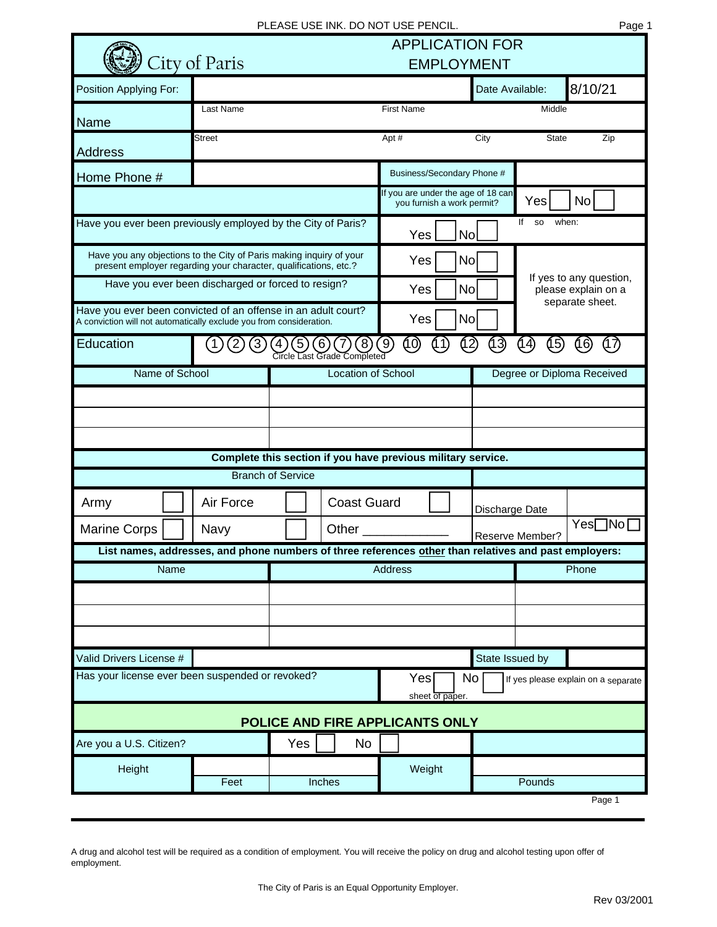|                                                                                                                                         |                           | <b>APPLICATION FOR</b><br><b>EMPLOYMENT</b>                         |                                                              |                        |                            |                                                                                                       |              |                    |  |
|-----------------------------------------------------------------------------------------------------------------------------------------|---------------------------|---------------------------------------------------------------------|--------------------------------------------------------------|------------------------|----------------------------|-------------------------------------------------------------------------------------------------------|--------------|--------------------|--|
|                                                                                                                                         | City of Paris             |                                                                     |                                                              |                        |                            |                                                                                                       |              |                    |  |
| Position Applying For:                                                                                                                  |                           |                                                                     |                                                              |                        |                            | Date Available:                                                                                       |              | 8/10/21            |  |
| Name                                                                                                                                    | Last Name                 |                                                                     |                                                              | <b>First Name</b>      |                            |                                                                                                       | Middle       |                    |  |
| <b>Address</b>                                                                                                                          | Street                    |                                                                     |                                                              | Apt#                   |                            | City                                                                                                  | <b>State</b> | Zip                |  |
| Home Phone #                                                                                                                            |                           |                                                                     |                                                              |                        |                            | Business/Secondary Phone #                                                                            |              |                    |  |
|                                                                                                                                         |                           |                                                                     |                                                              |                        | you furnish a work permit? | If you are under the age of 18 can                                                                    | Yes          | No                 |  |
| Have you ever been previously employed by the City of Paris?                                                                            |                           | <b>No</b><br>Yes                                                    |                                                              |                        |                            | lf<br><b>SO</b>                                                                                       | when:        |                    |  |
| Have you any objections to the City of Paris making inquiry of your<br>present employer regarding your character, qualifications, etc.? |                           |                                                                     |                                                              |                        | <b>No</b><br>Yes           |                                                                                                       |              |                    |  |
| Have you ever been discharged or forced to resign?                                                                                      |                           |                                                                     |                                                              | Yes<br><b>No</b>       |                            | If yes to any question,<br>please explain on a<br>separate sheet.                                     |              |                    |  |
| Have you ever been convicted of an offense in an adult court?<br>A conviction will not automatically exclude you from consideration.    |                           |                                                                     |                                                              | <b>No</b><br>Yes       |                            |                                                                                                       |              |                    |  |
| Education                                                                                                                               |                           |                                                                     | $\lceil 8 \rceil$<br>Circle Last Grade Completed             | $\left[9\right]$<br>10 |                            | 13)                                                                                                   | (14)<br>(15) | (17<br>(16         |  |
| Name of School                                                                                                                          | <b>Location of School</b> |                                                                     |                                                              |                        | Degree or Diploma Received |                                                                                                       |              |                    |  |
|                                                                                                                                         |                           |                                                                     |                                                              |                        |                            |                                                                                                       |              |                    |  |
|                                                                                                                                         |                           |                                                                     |                                                              |                        |                            |                                                                                                       |              |                    |  |
|                                                                                                                                         |                           |                                                                     |                                                              |                        |                            |                                                                                                       |              |                    |  |
|                                                                                                                                         |                           |                                                                     | Complete this section if you have previous military service. |                        |                            |                                                                                                       |              |                    |  |
|                                                                                                                                         |                           | <b>Branch of Service</b>                                            |                                                              |                        |                            |                                                                                                       |              |                    |  |
| Army                                                                                                                                    | Air Force                 |                                                                     | <b>Coast Guard</b>                                           |                        |                            | Discharge Date                                                                                        |              |                    |  |
| <b>Marine Corps</b>                                                                                                                     | Navy                      |                                                                     | Other                                                        |                        |                            | Reserve Member?                                                                                       |              | $Yes \Box No \Box$ |  |
|                                                                                                                                         |                           |                                                                     |                                                              |                        |                            | List names, addresses, and phone numbers of three references other than relatives and past employers: |              |                    |  |
| Name                                                                                                                                    |                           |                                                                     |                                                              | Phone<br>Address       |                            |                                                                                                       |              |                    |  |
|                                                                                                                                         |                           |                                                                     |                                                              |                        |                            |                                                                                                       |              |                    |  |
|                                                                                                                                         |                           |                                                                     |                                                              |                        |                            |                                                                                                       |              |                    |  |
|                                                                                                                                         |                           |                                                                     |                                                              |                        |                            |                                                                                                       |              |                    |  |
| Valid Drivers License #                                                                                                                 |                           |                                                                     |                                                              |                        | State Issued by            |                                                                                                       |              |                    |  |
| Has your license ever been suspended or revoked?                                                                                        |                           | Yes<br>No<br>If yes please explain on a separate<br>sheet of paper. |                                                              |                        |                            |                                                                                                       |              |                    |  |
| POLICE AND FIRE APPLICANTS ONLY                                                                                                         |                           |                                                                     |                                                              |                        |                            |                                                                                                       |              |                    |  |
| Are you a U.S. Citizen?                                                                                                                 |                           | Yes                                                                 | <b>No</b>                                                    |                        |                            |                                                                                                       |              |                    |  |
| Height                                                                                                                                  |                           |                                                                     |                                                              | Weight                 |                            |                                                                                                       |              |                    |  |
|                                                                                                                                         | Feet                      |                                                                     | Inches                                                       |                        |                            |                                                                                                       | Pounds       |                    |  |
|                                                                                                                                         |                           |                                                                     |                                                              |                        |                            |                                                                                                       |              | Page 1             |  |

A drug and alcohol test will be required as a condition of employment. You will receive the policy on drug and alcohol testing upon offer of employment.